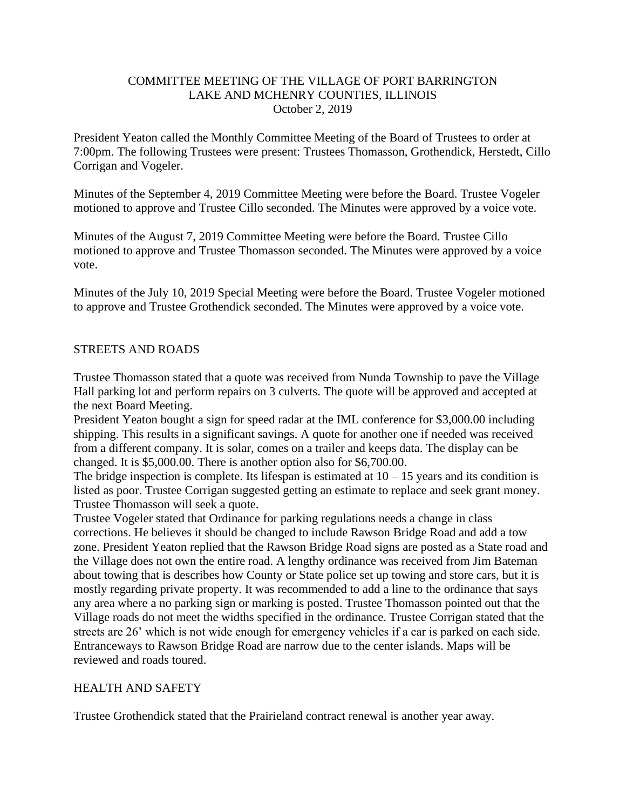# COMMITTEE MEETING OF THE VILLAGE OF PORT BARRINGTON LAKE AND MCHENRY COUNTIES, ILLINOIS October 2, 2019

President Yeaton called the Monthly Committee Meeting of the Board of Trustees to order at 7:00pm. The following Trustees were present: Trustees Thomasson, Grothendick, Herstedt, Cillo Corrigan and Vogeler.

Minutes of the September 4, 2019 Committee Meeting were before the Board. Trustee Vogeler motioned to approve and Trustee Cillo seconded. The Minutes were approved by a voice vote.

Minutes of the August 7, 2019 Committee Meeting were before the Board. Trustee Cillo motioned to approve and Trustee Thomasson seconded. The Minutes were approved by a voice vote.

Minutes of the July 10, 2019 Special Meeting were before the Board. Trustee Vogeler motioned to approve and Trustee Grothendick seconded. The Minutes were approved by a voice vote.

# STREETS AND ROADS

Trustee Thomasson stated that a quote was received from Nunda Township to pave the Village Hall parking lot and perform repairs on 3 culverts. The quote will be approved and accepted at the next Board Meeting.

President Yeaton bought a sign for speed radar at the IML conference for \$3,000.00 including shipping. This results in a significant savings. A quote for another one if needed was received from a different company. It is solar, comes on a trailer and keeps data. The display can be changed. It is \$5,000.00. There is another option also for \$6,700.00.

The bridge inspection is complete. Its lifespan is estimated at  $10 - 15$  years and its condition is listed as poor. Trustee Corrigan suggested getting an estimate to replace and seek grant money. Trustee Thomasson will seek a quote.

Trustee Vogeler stated that Ordinance for parking regulations needs a change in class corrections. He believes it should be changed to include Rawson Bridge Road and add a tow zone. President Yeaton replied that the Rawson Bridge Road signs are posted as a State road and the Village does not own the entire road. A lengthy ordinance was received from Jim Bateman about towing that is describes how County or State police set up towing and store cars, but it is mostly regarding private property. It was recommended to add a line to the ordinance that says any area where a no parking sign or marking is posted. Trustee Thomasson pointed out that the Village roads do not meet the widths specified in the ordinance. Trustee Corrigan stated that the streets are 26' which is not wide enough for emergency vehicles if a car is parked on each side. Entranceways to Rawson Bridge Road are narrow due to the center islands. Maps will be reviewed and roads toured.

#### HEALTH AND SAFETY

Trustee Grothendick stated that the Prairieland contract renewal is another year away.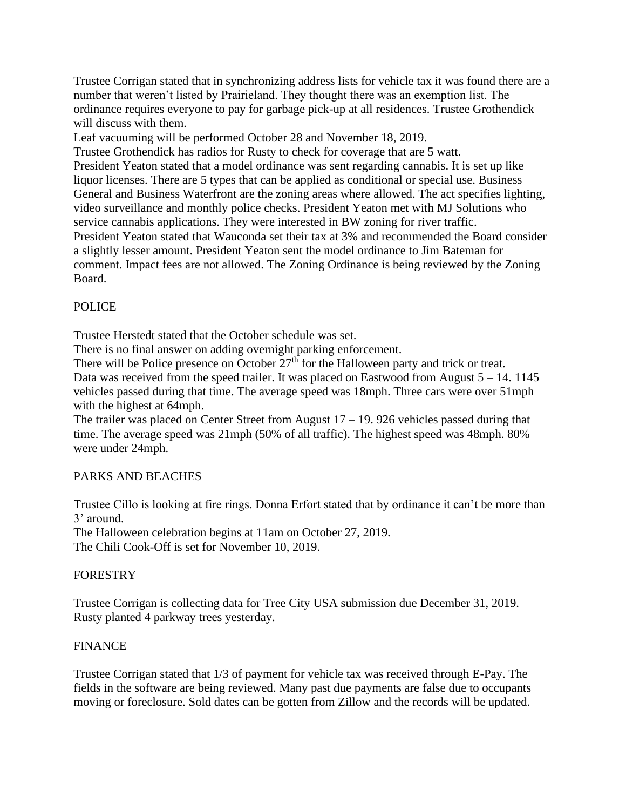Trustee Corrigan stated that in synchronizing address lists for vehicle tax it was found there are a number that weren't listed by Prairieland. They thought there was an exemption list. The ordinance requires everyone to pay for garbage pick-up at all residences. Trustee Grothendick will discuss with them.

Leaf vacuuming will be performed October 28 and November 18, 2019.

Trustee Grothendick has radios for Rusty to check for coverage that are 5 watt. President Yeaton stated that a model ordinance was sent regarding cannabis. It is set up like liquor licenses. There are 5 types that can be applied as conditional or special use. Business General and Business Waterfront are the zoning areas where allowed. The act specifies lighting, video surveillance and monthly police checks. President Yeaton met with MJ Solutions who service cannabis applications. They were interested in BW zoning for river traffic. President Yeaton stated that Wauconda set their tax at 3% and recommended the Board consider a slightly lesser amount. President Yeaton sent the model ordinance to Jim Bateman for comment. Impact fees are not allowed. The Zoning Ordinance is being reviewed by the Zoning Board.

# POLICE

Trustee Herstedt stated that the October schedule was set.

There is no final answer on adding overnight parking enforcement.

There will be Police presence on October  $27<sup>th</sup>$  for the Halloween party and trick or treat. Data was received from the speed trailer. It was placed on Eastwood from August  $5 - 14$ . 1145 vehicles passed during that time. The average speed was 18mph. Three cars were over 51mph with the highest at 64mph.

The trailer was placed on Center Street from August 17 – 19. 926 vehicles passed during that time. The average speed was 21mph (50% of all traffic). The highest speed was 48mph. 80% were under 24mph.

# PARKS AND BEACHES

Trustee Cillo is looking at fire rings. Donna Erfort stated that by ordinance it can't be more than 3' around.

The Halloween celebration begins at 11am on October 27, 2019. The Chili Cook-Off is set for November 10, 2019.

# FORESTRY

Trustee Corrigan is collecting data for Tree City USA submission due December 31, 2019. Rusty planted 4 parkway trees yesterday.

# FINANCE

Trustee Corrigan stated that 1/3 of payment for vehicle tax was received through E-Pay. The fields in the software are being reviewed. Many past due payments are false due to occupants moving or foreclosure. Sold dates can be gotten from Zillow and the records will be updated.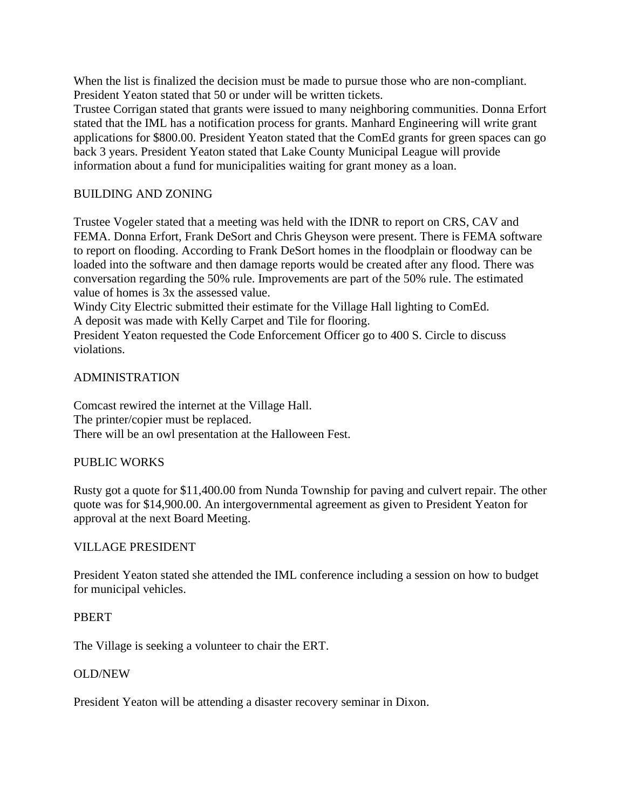When the list is finalized the decision must be made to pursue those who are non-compliant. President Yeaton stated that 50 or under will be written tickets.

Trustee Corrigan stated that grants were issued to many neighboring communities. Donna Erfort stated that the IML has a notification process for grants. Manhard Engineering will write grant applications for \$800.00. President Yeaton stated that the ComEd grants for green spaces can go back 3 years. President Yeaton stated that Lake County Municipal League will provide information about a fund for municipalities waiting for grant money as a loan.

# BUILDING AND ZONING

Trustee Vogeler stated that a meeting was held with the IDNR to report on CRS, CAV and FEMA. Donna Erfort, Frank DeSort and Chris Gheyson were present. There is FEMA software to report on flooding. According to Frank DeSort homes in the floodplain or floodway can be loaded into the software and then damage reports would be created after any flood. There was conversation regarding the 50% rule. Improvements are part of the 50% rule. The estimated value of homes is 3x the assessed value.

Windy City Electric submitted their estimate for the Village Hall lighting to ComEd. A deposit was made with Kelly Carpet and Tile for flooring.

President Yeaton requested the Code Enforcement Officer go to 400 S. Circle to discuss violations.

# ADMINISTRATION

Comcast rewired the internet at the Village Hall. The printer/copier must be replaced. There will be an owl presentation at the Halloween Fest.

# PUBLIC WORKS

Rusty got a quote for \$11,400.00 from Nunda Township for paving and culvert repair. The other quote was for \$14,900.00. An intergovernmental agreement as given to President Yeaton for approval at the next Board Meeting.

# VILLAGE PRESIDENT

President Yeaton stated she attended the IML conference including a session on how to budget for municipal vehicles.

# PBERT

The Village is seeking a volunteer to chair the ERT.

# OLD/NEW

President Yeaton will be attending a disaster recovery seminar in Dixon.